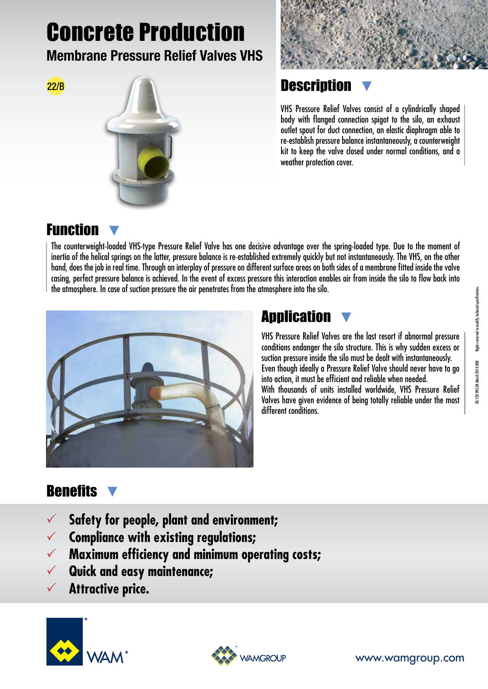# Concrete Production Membrane Pressure Relief Valves VHS







#### **Description**

VHS Pressure Relief Valves consist of a cylindrically shaped body with flanged connection spigot to the silo, an exhaust outlet spout for duct connection, an elastic diaphragm able to re-establish pressure balance instantaneously, a counterweight kit to keep the valve closed under normal conditions, and a weather protection cover.

#### Function

The counterweight-loaded VHS-type Pressure Relief Valve has one decisive advantage over the spring-loaded type. Due to the moment of inertia of the helical springs on the latter, pressure balance is re-established extremely quickly but not instantaneously. The VHS, on the other hand, does the job in real time. Through an interplay of pressure on different surface areas on both sides of a membrane fitted inside the valve casing, perfect pressure balance is achieved. In the event of excess pressure this interaction enables air from inside the silo to flow back into the atmosphere. In case of suction pressure the air penetrates from the atmosphere into the silo.



### **Application**

VHS Pressure Relief Valves are the last resort if abnormal pressure conditions endanger the silo structure. This is why sudden excess or suction pressure inside the silo must be dealt with instantaneously. Even though ideally a Pressure Relief Valve should never have to go into action, it must be efficient and reliable when needed. With thousands of units installed worldwide, VHS Pressure Relief Valves have given evidence of being totally reliable under the most different conditions.

#### **Benefits**

- **Safety for people, plant and environment;**
- **Compliance with existing regulations;**
- **Maximum efficiency and minimum operating costs;**
- **Quick and easy maintenance;**
- **Attractive price.**